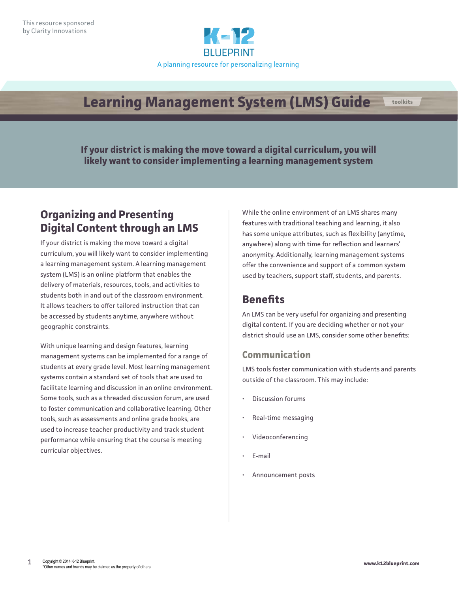

# **Learning Management System (LMS) Guide**

**If your district is making the move toward a digital curriculum, you will likely want to consider implementing a learning management system**

### **Organizing and Presenting Digital Content through an LMS**

If your district is making the move toward a digital curriculum, you will likely want to consider implementing a learning management system. A learning management system (LMS) is an online platform that enables the delivery of materials, resources, tools, and activities to students both in and out of the classroom environment. It allows teachers to offer tailored instruction that can be accessed by students anytime, anywhere without geographic constraints.

With unique learning and design features, learning management systems can be implemented for a range of students at every grade level. Most learning management systems contain a standard set of tools that are used to facilitate learning and discussion in an online environment. Some tools, such as a threaded discussion forum, are used to foster communication and collaborative learning. Other tools, such as assessments and online grade books, are used to increase teacher productivity and track student performance while ensuring that the course is meeting curricular objectives.

While the online environment of an LMS shares many features with traditional teaching and learning, it also has some unique attributes, such as flexibility (anytime, anywhere) along with time for reflection and learners' anonymity. Additionally, learning management systems offer the convenience and support of a common system used by teachers, support staff, students, and parents.

# **Benefits**

An LMS can be very useful for organizing and presenting digital content. If you are deciding whether or not your district should use an LMS, consider some other benefits:

### **Communication**

LMS tools foster communication with students and parents outside of the classroom. This may include:

- Discussion forums
- Real-time messaging
- Videoconferencing
- E-mail
- Announcement posts

**toolkits**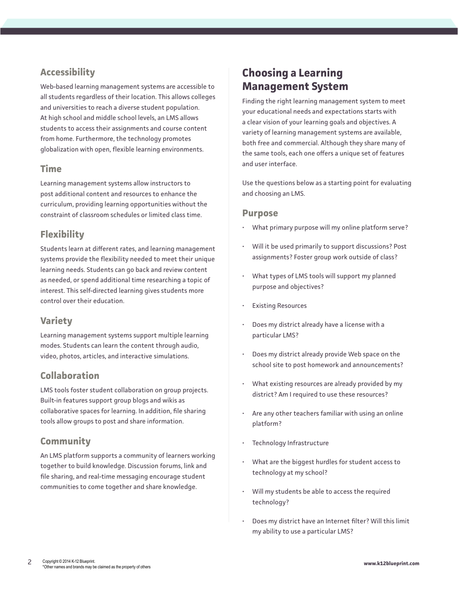### **Accessibility**

Web-based learning management systems are accessible to all students regardless of their location. This allows colleges and universities to reach a diverse student population. At high school and middle school levels, an LMS allows students to access their assignments and course content from home. Furthermore, the technology promotes globalization with open, flexible learning environments.

#### **Time**

Learning management systems allow instructors to post additional content and resources to enhance the curriculum, providing learning opportunities without the constraint of classroom schedules or limited class time.

### **Flexibility**

Students learn at different rates, and learning management systems provide the flexibility needed to meet their unique learning needs. Students can go back and review content as needed, or spend additional time researching a topic of interest. This self-directed learning gives students more control over their education.

### **Variety**

Learning management systems support multiple learning modes. Students can learn the content through audio, video, photos, articles, and interactive simulations.

### **Collaboration**

LMS tools foster student collaboration on group projects. Built-in features support group blogs and wikis as collaborative spaces for learning. In addition, file sharing tools allow groups to post and share information.

#### **Community**

An LMS platform supports a community of learners working together to build knowledge. Discussion forums, link and file sharing, and real-time messaging encourage student communities to come together and share knowledge.

### **Choosing a Learning Management System**

Finding the right learning management system to meet your educational needs and expectations starts with a clear vision of your learning goals and objectives. A variety of learning management systems are available, both free and commercial. Although they share many of the same tools, each one offers a unique set of features and user interface.

Use the questions below as a starting point for evaluating and choosing an LMS.

#### **Purpose**

- What primary purpose will my online platform serve?
- Will it be used primarily to support discussions? Post assignments? Foster group work outside of class?
- What types of LMS tools will support my planned purpose and objectives?
- Existing Resources
- Does my district already have a license with a particular LMS?
- Does my district already provide Web space on the school site to post homework and announcements?
- What existing resources are already provided by my district? Am I required to use these resources?
- Are any other teachers familiar with using an online platform?
- Technology Infrastructure
- What are the biggest hurdles for student access to technology at my school?
- Will my students be able to access the required technology?
- Does my district have an Internet filter? Will this limit my ability to use a particular LMS?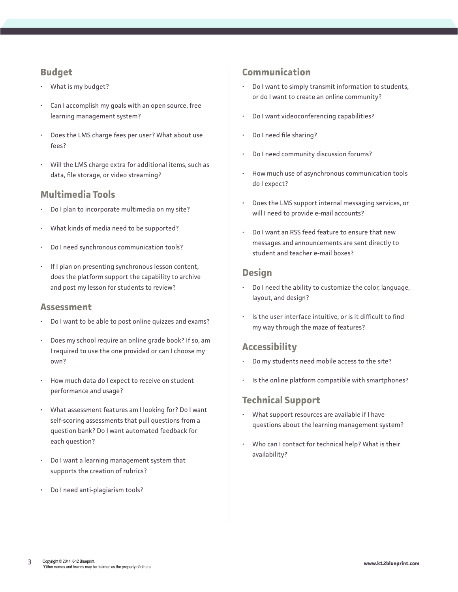### **Budget**

- What is my budget?
- Can I accomplish my goals with an open source, free learning management system?
- Does the LMS charge fees per user? What about use fees?
- Will the LMS charge extra for additional items, such as data, file storage, or video streaming?

### **Multimedia Tools**

- Do I plan to incorporate multimedia on my site?
- What kinds of media need to be supported?
- Do I need synchronous communication tools?
- If I plan on presenting synchronous lesson content, does the platform support the capability to archive and post my lesson for students to review?

#### **Assessment**

- Do I want to be able to post online quizzes and exams?
- Does my school require an online grade book? If so, am I required to use the one provided or can I choose my own?
- How much data do I expect to receive on student performance and usage?
- What assessment features am I looking for? Do I want self-scoring assessments that pull questions from a question bank? Do I want automated feedback for each question?
- Do I want a learning management system that supports the creation of rubrics?
- Do I need anti-plagiarism tools?

#### **Communication**

- Do I want to simply transmit information to students, or do I want to create an online community?
- Do I want videoconferencing capabilities?
- Do I need file sharing?
- Do I need community discussion forums?
- How much use of asynchronous communication tools do I expect?
- Does the LMS support internal messaging services, or will I need to provide e-mail accounts?
- Do I want an RSS feed feature to ensure that new messages and announcements are sent directly to student and teacher e-mail boxes?

### **Design**

- Do I need the ability to customize the color, language, layout, and design?
- Is the user interface intuitive, or is it difficult to find my way through the maze of features?

### **Accessibility**

- Do my students need mobile access to the site?
- Is the online platform compatible with smartphones?

### **Technical Support**

- What support resources are available if I have questions about the learning management system?
- Who can I contact for technical help? What is their availability?